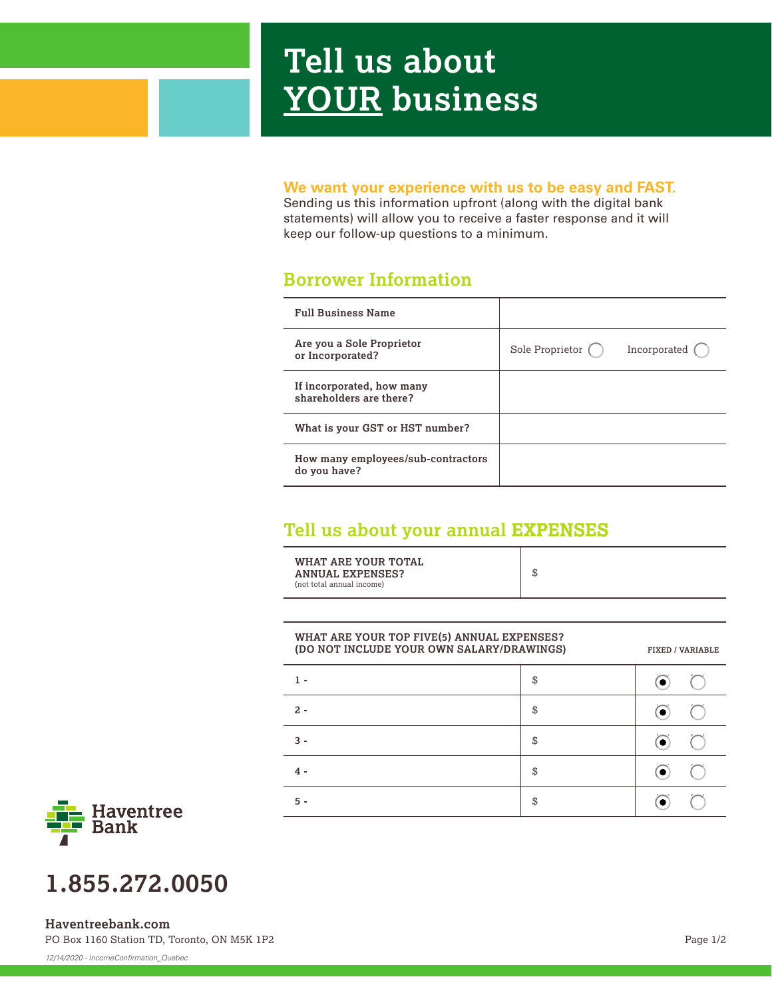# **Tell us about YOUR business**

#### **We want your experience with us to be easy and FAST.**

Sending us this information upfront (along with the digital bank statements) will allow you to receive a faster response and it will keep our follow-up questions to a minimum.

### **Borrower Information**

| <b>Full Business Name</b>                            |                           |              |
|------------------------------------------------------|---------------------------|--------------|
| Are you a Sole Proprietor<br>or Incorporated?        | Sole Proprietor $\bigcap$ | Incorporated |
| If incorporated, how many<br>shareholders are there? |                           |              |
| What is your GST or HST number?                      |                           |              |
| How many employees/sub-contractors<br>do you have?   |                           |              |

## **Tell us about your annual EXPENSES**

| WHAT ARE YOUR TOTAL<br><b>ANNUAL EXPENSES?</b><br>(not total annual income) | \$ |
|-----------------------------------------------------------------------------|----|
|-----------------------------------------------------------------------------|----|

| (DO NOT INCLUDE YOUR OWN SALARY/DRAWINGS) |    | <b>FIXED / VARIABLE</b> |
|-------------------------------------------|----|-------------------------|
|                                           | \$ |                         |
| $2 -$                                     | \$ |                         |
| $3 -$                                     | \$ |                         |
| 4 -                                       | \$ |                         |
| 5 -                                       | \$ |                         |



# **1.855.272.0050**

PO Box 1160 Station TD, Toronto, ON M5K 1P2 **Haventreebank.com**